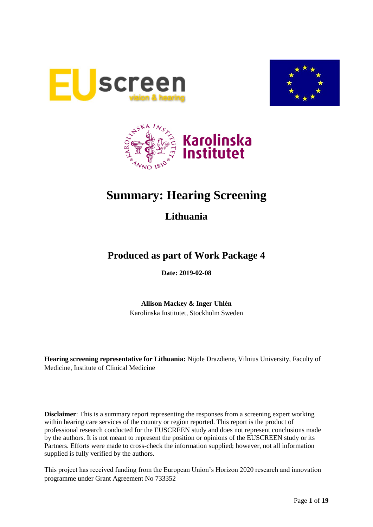





# **Summary: Hearing Screening**

## **Lithuania**

## **Produced as part of Work Package 4**

**Date: 2019-02-08**

**Allison Mackey & Inger Uhlén** Karolinska Institutet, Stockholm Sweden

**Hearing screening representative for Lithuania:** Nijole Drazdiene, Vilnius University, Faculty of Medicine, Institute of Clinical Medicine

**Disclaimer**: This is a summary report representing the responses from a screening expert working within hearing care services of the country or region reported. This report is the product of professional research conducted for the EUSCREEN study and does not represent conclusions made by the authors. It is not meant to represent the position or opinions of the EUSCREEN study or its Partners. Efforts were made to cross-check the information supplied; however, not all information supplied is fully verified by the authors.

This project has received funding from the European Union's Horizon 2020 research and innovation programme under Grant Agreement No 733352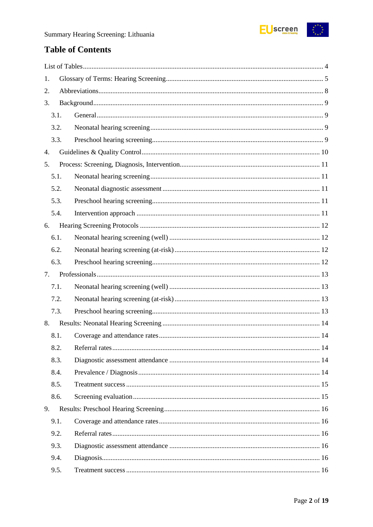

## **Table of Contents**

| 1. |      |  |  |  |  |
|----|------|--|--|--|--|
| 2. |      |  |  |  |  |
| 3. |      |  |  |  |  |
|    | 3.1. |  |  |  |  |
|    | 3.2. |  |  |  |  |
|    | 3.3. |  |  |  |  |
| 4. |      |  |  |  |  |
| 5. |      |  |  |  |  |
|    | 5.1. |  |  |  |  |
|    | 5.2. |  |  |  |  |
|    | 5.3. |  |  |  |  |
|    | 5.4. |  |  |  |  |
| 6. |      |  |  |  |  |
|    | 6.1. |  |  |  |  |
|    | 6.2. |  |  |  |  |
|    | 6.3. |  |  |  |  |
| 7. |      |  |  |  |  |
|    | 7.1. |  |  |  |  |
|    | 7.2. |  |  |  |  |
|    | 7.3. |  |  |  |  |
| 8. |      |  |  |  |  |
|    | 8.1. |  |  |  |  |
|    | 8.2. |  |  |  |  |
|    | 8.3. |  |  |  |  |
|    | 8.4. |  |  |  |  |
|    | 8.5. |  |  |  |  |
|    | 8.6. |  |  |  |  |
| 9. |      |  |  |  |  |
|    | 9.1. |  |  |  |  |
|    | 9.2. |  |  |  |  |
|    | 9.3. |  |  |  |  |
|    | 9.4. |  |  |  |  |
|    | 9.5. |  |  |  |  |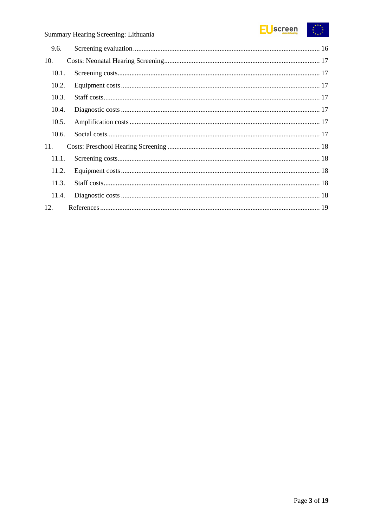

| 9.6.  |  |
|-------|--|
| 10.   |  |
| 10.1. |  |
| 10.2. |  |
| 10.3. |  |
| 10.4. |  |
| 10.5. |  |
| 10.6. |  |
| 11.   |  |
| 11.1. |  |
| 11.2. |  |
| 11.3. |  |
| 11.4. |  |
| 12.   |  |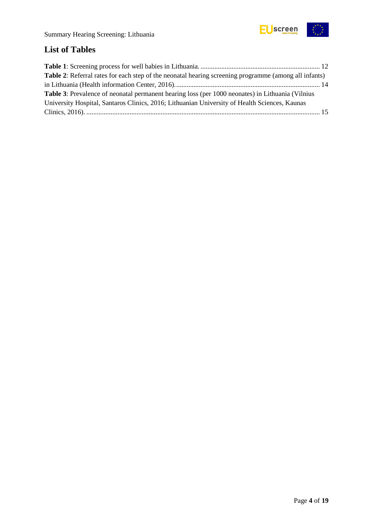

## <span id="page-3-0"></span>**List of Tables**

| <b>Table 2:</b> Referral rates for each step of the neonatal hearing screening programme (among all infants) |  |
|--------------------------------------------------------------------------------------------------------------|--|
|                                                                                                              |  |
| <b>Table 3:</b> Prevalence of neonatal permanent hearing loss (per 1000 neonates) in Lithuania (Vilnius      |  |
| University Hospital, Santaros Clinics, 2016; Lithuanian University of Health Sciences, Kaunas                |  |
|                                                                                                              |  |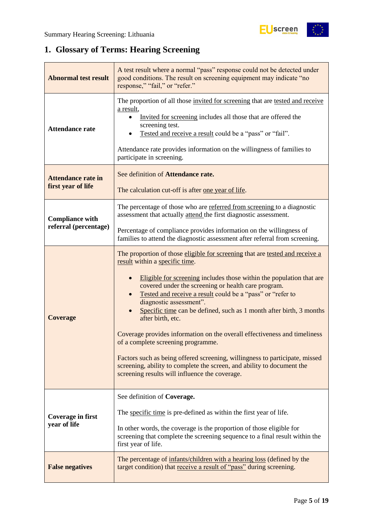## <span id="page-4-0"></span>**1. Glossary of Terms: Hearing Screening**

| <b>Abnormal test result</b>                     | A test result where a normal "pass" response could not be detected under<br>good conditions. The result on screening equipment may indicate "no<br>response," "fail," or "refer."                                                                                                                                                                                                                                                                                                                                                                                                                                                                                                                                                                                |  |  |  |
|-------------------------------------------------|------------------------------------------------------------------------------------------------------------------------------------------------------------------------------------------------------------------------------------------------------------------------------------------------------------------------------------------------------------------------------------------------------------------------------------------------------------------------------------------------------------------------------------------------------------------------------------------------------------------------------------------------------------------------------------------------------------------------------------------------------------------|--|--|--|
| <b>Attendance rate</b>                          | The proportion of all those invited for screening that are tested and receive<br>a result,<br>Invited for screening includes all those that are offered the<br>screening test.<br>Tested and receive a result could be a "pass" or "fail".<br>Attendance rate provides information on the willingness of families to<br>participate in screening.                                                                                                                                                                                                                                                                                                                                                                                                                |  |  |  |
| <b>Attendance rate in</b><br>first year of life | See definition of Attendance rate.<br>The calculation cut-off is after one year of life.                                                                                                                                                                                                                                                                                                                                                                                                                                                                                                                                                                                                                                                                         |  |  |  |
| <b>Compliance with</b>                          | The percentage of those who are referred from screening to a diagnostic<br>assessment that actually attend the first diagnostic assessment.                                                                                                                                                                                                                                                                                                                                                                                                                                                                                                                                                                                                                      |  |  |  |
| referral (percentage)                           | Percentage of compliance provides information on the willingness of<br>families to attend the diagnostic assessment after referral from screening.                                                                                                                                                                                                                                                                                                                                                                                                                                                                                                                                                                                                               |  |  |  |
| <b>Coverage</b>                                 | The proportion of those eligible for screening that are tested and receive a<br>result within a specific time.<br>Eligible for screening includes those within the population that are<br>covered under the screening or health care program.<br>Tested and receive a result could be a "pass" or "refer to<br>diagnostic assessment".<br>Specific time can be defined, such as 1 month after birth, 3 months<br>after birth, etc.<br>Coverage provides information on the overall effectiveness and timeliness<br>of a complete screening programme.<br>Factors such as being offered screening, willingness to participate, missed<br>screening, ability to complete the screen, and ability to document the<br>screening results will influence the coverage. |  |  |  |
| Coverage in first<br>year of life               | See definition of Coverage.<br>The specific time is pre-defined as within the first year of life.<br>In other words, the coverage is the proportion of those eligible for<br>screening that complete the screening sequence to a final result within the<br>first year of life.                                                                                                                                                                                                                                                                                                                                                                                                                                                                                  |  |  |  |
| <b>False negatives</b>                          | The percentage of infants/children with a hearing loss (defined by the<br>target condition) that receive a result of "pass" during screening.                                                                                                                                                                                                                                                                                                                                                                                                                                                                                                                                                                                                                    |  |  |  |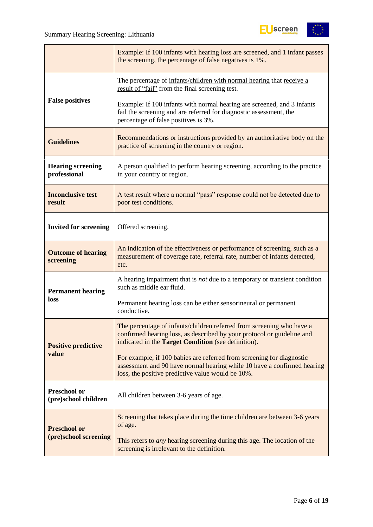

|                                             | Example: If 100 infants with hearing loss are screened, and 1 infant passes<br>the screening, the percentage of false negatives is 1%.                                                                        |  |  |
|---------------------------------------------|---------------------------------------------------------------------------------------------------------------------------------------------------------------------------------------------------------------|--|--|
|                                             | The percentage of infants/children with normal hearing that receive a<br>result of "fail" from the final screening test.                                                                                      |  |  |
| <b>False positives</b>                      | Example: If 100 infants with normal hearing are screened, and 3 infants<br>fail the screening and are referred for diagnostic assessment, the<br>percentage of false positives is 3%.                         |  |  |
| <b>Guidelines</b>                           | Recommendations or instructions provided by an authoritative body on the<br>practice of screening in the country or region.                                                                                   |  |  |
| <b>Hearing screening</b><br>professional    | A person qualified to perform hearing screening, according to the practice<br>in your country or region.                                                                                                      |  |  |
| <b>Inconclusive test</b><br>result          | A test result where a normal "pass" response could not be detected due to<br>poor test conditions.                                                                                                            |  |  |
| <b>Invited for screening</b>                | Offered screening.                                                                                                                                                                                            |  |  |
| <b>Outcome of hearing</b><br>screening      | An indication of the effectiveness or performance of screening, such as a<br>measurement of coverage rate, referral rate, number of infants detected,<br>etc.                                                 |  |  |
| <b>Permanent hearing</b>                    | A hearing impairment that is <i>not</i> due to a temporary or transient condition<br>such as middle ear fluid.                                                                                                |  |  |
| loss                                        | Permanent hearing loss can be either sensorineural or permanent<br>conductive.                                                                                                                                |  |  |
| <b>Positive predictive</b>                  | The percentage of infants/children referred from screening who have a<br>confirmed hearing loss, as described by your protocol or guideline and<br>indicated in the <b>Target Condition</b> (see definition). |  |  |
| value                                       | For example, if 100 babies are referred from screening for diagnostic<br>assessment and 90 have normal hearing while 10 have a confirmed hearing<br>loss, the positive predictive value would be 10%.         |  |  |
| <b>Preschool or</b><br>(pre)school children | All children between 3-6 years of age.                                                                                                                                                                        |  |  |
| <b>Preschool or</b>                         | Screening that takes place during the time children are between 3-6 years<br>of age.                                                                                                                          |  |  |
| (pre)school screening                       | This refers to <i>any</i> hearing screening during this age. The location of the<br>screening is irrelevant to the definition.                                                                                |  |  |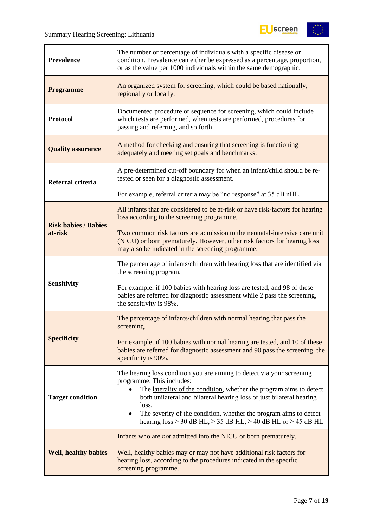$\overline{1}$ 



| <b>Prevalence</b>           | The number or percentage of individuals with a specific disease or<br>condition. Prevalence can either be expressed as a percentage, proportion,<br>or as the value per 1000 individuals within the same demographic.                                                                                                                                                                                                          |  |  |
|-----------------------------|--------------------------------------------------------------------------------------------------------------------------------------------------------------------------------------------------------------------------------------------------------------------------------------------------------------------------------------------------------------------------------------------------------------------------------|--|--|
| <b>Programme</b>            | An organized system for screening, which could be based nationally,<br>regionally or locally.                                                                                                                                                                                                                                                                                                                                  |  |  |
| <b>Protocol</b>             | Documented procedure or sequence for screening, which could include<br>which tests are performed, when tests are performed, procedures for<br>passing and referring, and so forth.                                                                                                                                                                                                                                             |  |  |
| <b>Quality assurance</b>    | A method for checking and ensuring that screening is functioning<br>adequately and meeting set goals and benchmarks.                                                                                                                                                                                                                                                                                                           |  |  |
| Referral criteria           | A pre-determined cut-off boundary for when an infant/child should be re-<br>tested or seen for a diagnostic assessment.                                                                                                                                                                                                                                                                                                        |  |  |
|                             | For example, referral criteria may be "no response" at 35 dB nHL.                                                                                                                                                                                                                                                                                                                                                              |  |  |
| <b>Risk babies / Babies</b> | All infants that are considered to be at-risk or have risk-factors for hearing<br>loss according to the screening programme.                                                                                                                                                                                                                                                                                                   |  |  |
| at-risk                     | Two common risk factors are admission to the neonatal-intensive care unit<br>(NICU) or born prematurely. However, other risk factors for hearing loss<br>may also be indicated in the screening programme.                                                                                                                                                                                                                     |  |  |
|                             | The percentage of infants/children with hearing loss that are identified via<br>the screening program.                                                                                                                                                                                                                                                                                                                         |  |  |
| <b>Sensitivity</b>          | For example, if 100 babies with hearing loss are tested, and 98 of these<br>babies are referred for diagnostic assessment while 2 pass the screening,<br>the sensitivity is 98%.                                                                                                                                                                                                                                               |  |  |
|                             | The percentage of infants/children with normal hearing that pass the<br>screening.                                                                                                                                                                                                                                                                                                                                             |  |  |
| <b>Specificity</b>          | For example, if 100 babies with normal hearing are tested, and 10 of these<br>babies are referred for diagnostic assessment and 90 pass the screening, the<br>specificity is 90%.                                                                                                                                                                                                                                              |  |  |
| <b>Target condition</b>     | The hearing loss condition you are aiming to detect via your screening<br>programme. This includes:<br>The laterality of the condition, whether the program aims to detect<br>both unilateral and bilateral hearing loss or just bilateral hearing<br>loss.<br>The severity of the condition, whether the program aims to detect<br>$\bullet$<br>hearing $loss \ge 30$ dB HL, $\ge 35$ dB HL, $\ge 40$ dB HL or $\ge 45$ dB HL |  |  |
| <b>Well, healthy babies</b> | Infants who are <i>not</i> admitted into the NICU or born prematurely.<br>Well, healthy babies may or may not have additional risk factors for<br>hearing loss, according to the procedures indicated in the specific<br>screening programme.                                                                                                                                                                                  |  |  |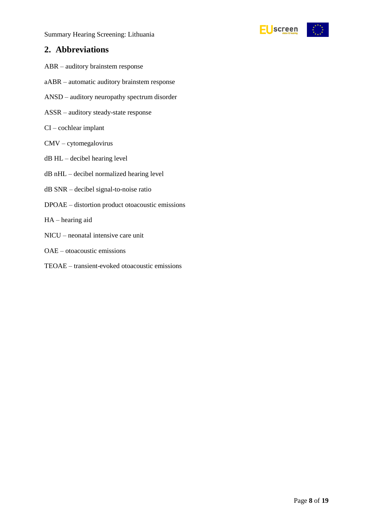

### <span id="page-7-0"></span>**2. Abbreviations**

- ABR auditory brainstem response
- aABR automatic auditory brainstem response
- ANSD auditory neuropathy spectrum disorder
- ASSR auditory steady-state response
- CI cochlear implant
- CMV cytomegalovirus
- dB HL decibel hearing level
- dB nHL decibel normalized hearing level
- dB SNR decibel signal-to-noise ratio
- DPOAE distortion product otoacoustic emissions
- HA hearing aid
- NICU neonatal intensive care unit
- OAE otoacoustic emissions
- TEOAE transient-evoked otoacoustic emissions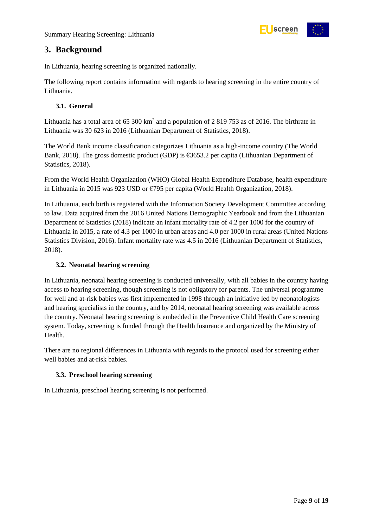

### <span id="page-8-0"></span>**3. Background**

In Lithuania, hearing screening is organized nationally.

The following report contains information with regards to hearing screening in the entire country of Lithuania.

#### <span id="page-8-1"></span>**3.1. General**

Lithuania has a total area of 65 300  $km^2$  and a population of 2 819 753 as of 2016. The birthrate in Lithuania was 30 623 in 2016 (Lithuanian Department of Statistics, 2018).

The World Bank income classification categorizes Lithuania as a high-income country (The World Bank, 2018). The gross domestic product (GDP) is €3653.2 per capita (Lithuanian Department of Statistics, 2018).

From the World Health Organization (WHO) Global Health Expenditure Database, health expenditure in Lithuania in 2015 was 923 USD or €795 per capita (World Health Organization, 2018).

In Lithuania, each birth is registered with the Information Society Development Committee according to law. Data acquired from the 2016 United Nations Demographic Yearbook and from the Lithuanian Department of Statistics (2018) indicate an infant mortality rate of 4.2 per 1000 for the country of Lithuania in 2015, a rate of 4.3 per 1000 in urban areas and 4.0 per 1000 in rural areas (United Nations Statistics Division, 2016). Infant mortality rate was 4.5 in 2016 (Lithuanian Department of Statistics, 2018).

#### <span id="page-8-2"></span>**3.2. Neonatal hearing screening**

In Lithuania, neonatal hearing screening is conducted universally, with all babies in the country having access to hearing screening, though screening is not obligatory for parents. The universal programme for well and at-risk babies was first implemented in 1998 through an initiative led by neonatologists and hearing specialists in the country, and by 2014, neonatal hearing screening was available across the country. Neonatal hearing screening is embedded in the Preventive Child Health Care screening system. Today, screening is funded through the Health Insurance and organized by the Ministry of Health.

There are no regional differences in Lithuania with regards to the protocol used for screening either well babies and at-risk babies.

#### <span id="page-8-3"></span>**3.3. Preschool hearing screening**

In Lithuania, preschool hearing screening is not performed.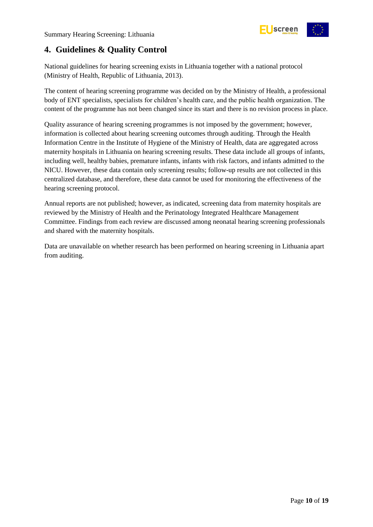

### <span id="page-9-0"></span>**4. Guidelines & Quality Control**

National guidelines for hearing screening exists in Lithuania together with a national protocol (Ministry of Health, Republic of Lithuania, 2013).

The content of hearing screening programme was decided on by the Ministry of Health, a professional body of ENT specialists, specialists for children's health care, and the public health organization. The content of the programme has not been changed since its start and there is no revision process in place.

Quality assurance of hearing screening programmes is not imposed by the government; however, information is collected about hearing screening outcomes through auditing. Through the Health Information Centre in the Institute of Hygiene of the Ministry of Health, data are aggregated across maternity hospitals in Lithuania on hearing screening results. These data include all groups of infants, including well, healthy babies, premature infants, infants with risk factors, and infants admitted to the NICU. However, these data contain only screening results; follow-up results are not collected in this centralized database, and therefore, these data cannot be used for monitoring the effectiveness of the hearing screening protocol.

Annual reports are not published; however, as indicated, screening data from maternity hospitals are reviewed by the Ministry of Health and the Perinatology Integrated Healthcare Management Committee. Findings from each review are discussed among neonatal hearing screening professionals and shared with the maternity hospitals.

Data are unavailable on whether research has been performed on hearing screening in Lithuania apart from auditing.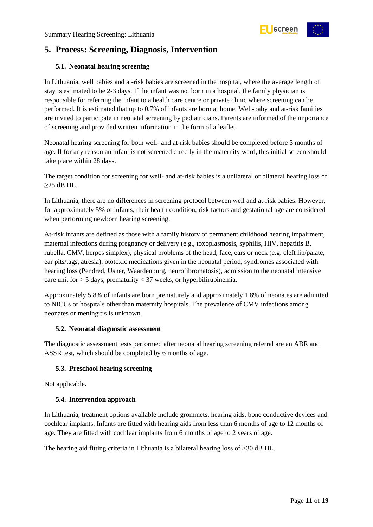

### <span id="page-10-0"></span>**5. Process: Screening, Diagnosis, Intervention**

#### <span id="page-10-1"></span>**5.1. Neonatal hearing screening**

In Lithuania, well babies and at-risk babies are screened in the hospital, where the average length of stay is estimated to be 2-3 days. If the infant was not born in a hospital, the family physician is responsible for referring the infant to a health care centre or private clinic where screening can be performed. It is estimated that up to 0.7% of infants are born at home. Well-baby and at-risk families are invited to participate in neonatal screening by pediatricians. Parents are informed of the importance of screening and provided written information in the form of a leaflet.

Neonatal hearing screening for both well- and at-risk babies should be completed before 3 months of age. If for any reason an infant is not screened directly in the maternity ward, this initial screen should take place within 28 days.

The target condition for screening for well- and at-risk babies is a unilateral or bilateral hearing loss of  $≥25$  dB HL.

In Lithuania, there are no differences in screening protocol between well and at-risk babies. However, for approximately 5% of infants, their health condition, risk factors and gestational age are considered when performing newborn hearing screening.

At-risk infants are defined as those with a family history of permanent childhood hearing impairment, maternal infections during pregnancy or delivery (e.g., toxoplasmosis, syphilis, HIV, hepatitis B, rubella, CMV, herpes simplex), physical problems of the head, face, ears or neck (e.g. cleft lip/palate, ear pits/tags, atresia), ototoxic medications given in the neonatal period, syndromes associated with hearing loss (Pendred, Usher, Waardenburg, neurofibromatosis), admission to the neonatal intensive care unit for  $> 5$  days, prematurity  $< 37$  weeks, or hyperbilirubinemia.

Approximately 5.8% of infants are born prematurely and approximately 1.8% of neonates are admitted to NICUs or hospitals other than maternity hospitals. The prevalence of CMV infections among neonates or meningitis is unknown.

#### <span id="page-10-2"></span>**5.2. Neonatal diagnostic assessment**

The diagnostic assessment tests performed after neonatal hearing screening referral are an ABR and ASSR test, which should be completed by 6 months of age.

#### <span id="page-10-3"></span>**5.3. Preschool hearing screening**

Not applicable.

#### <span id="page-10-4"></span>**5.4. Intervention approach**

In Lithuania, treatment options available include grommets, hearing aids, bone conductive devices and cochlear implants. Infants are fitted with hearing aids from less than 6 months of age to 12 months of age. They are fitted with cochlear implants from 6 months of age to 2 years of age.

The hearing aid fitting criteria in Lithuania is a bilateral hearing loss of >30 dB HL.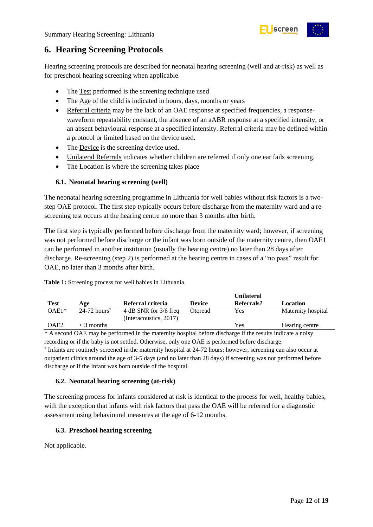

### <span id="page-11-0"></span>**6. Hearing Screening Protocols**

Hearing screening protocols are described for neonatal hearing screening (well and at-risk) as well as for preschool hearing screening when applicable.

- The Test performed is the screening technique used
- The Age of the child is indicated in hours, days, months or years
- Referral criteria may be the lack of an OAE response at specified frequencies, a responsewaveform repeatability constant, the absence of an aABR response at a specified intensity, or an absent behavioural response at a specified intensity. Referral criteria may be defined within a protocol or limited based on the device used.
- The Device is the screening device used.
- Unilateral Referrals indicates whether children are referred if only one ear fails screening.
- The Location is where the screening takes place

#### <span id="page-11-1"></span>**6.1. Neonatal hearing screening (well)**

The neonatal hearing screening programme in Lithuania for well babies without risk factors is a twostep OAE protocol. The first step typically occurs before discharge from the maternity ward and a rescreening test occurs at the hearing centre no more than 3 months after birth.

The first step is typically performed before discharge from the maternity ward; however, if screening was not performed before discharge or the infant was born outside of the maternity centre, then OAE1 can be performed in another institution (usually the hearing centre) no later than 28 days after discharge. Re-screening (step 2) is performed at the hearing centre in cases of a "no pass" result for OAE, no later than 3 months after birth.

|             |                            |                                                 |               | <b>Unilateral</b> |                    |
|-------------|----------------------------|-------------------------------------------------|---------------|-------------------|--------------------|
| <b>Test</b> | Age                        | Referral criteria                               | <b>Device</b> | Referrals?        | Location           |
| $OAE1*$     | $24-72$ hours <sup>†</sup> | 4 dB SNR for 3/6 freq<br>(Interacoustics, 2017) | Otoread       | Yes               | Maternity hospital |
| OAE2        | $<$ 3 months               |                                                 |               | Yes               | Hearing centre     |

\* A second OAE may be performed in the maternity hospital before discharge if the results indicate a noisy recording or if the baby is not settled. Otherwise, only one OAE is performed before discharge. † Infants are routinely screened in the maternity hospital at 24-72 hours; however, screening can also occur at outpatient clinics around the age of 3-5 days (and no later than 28 days) if screening was not performed before

discharge or if the infant was born outside of the hospital.

#### <span id="page-11-2"></span>**6.2. Neonatal hearing screening (at-risk)**

The screening process for infants considered at risk is identical to the process for well, healthy babies, with the exception that infants with risk factors that pass the OAE will be referred for a diagnostic assessment using behavioural measures at the age of 6-12 months.

#### <span id="page-11-3"></span>**6.3. Preschool hearing screening**

Not applicable.

<span id="page-11-4"></span>**Table 1:** Screening process for well babies in Lithuania.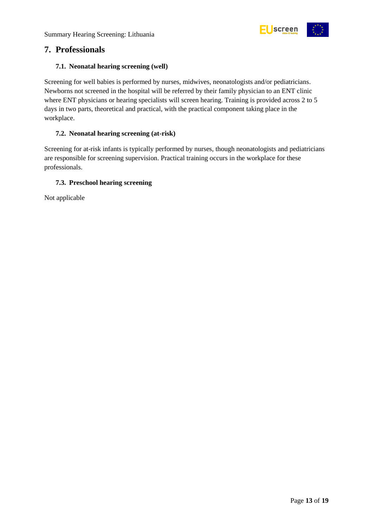

### <span id="page-12-0"></span>**7. Professionals**

#### <span id="page-12-1"></span>**7.1. Neonatal hearing screening (well)**

Screening for well babies is performed by nurses, midwives, neonatologists and/or pediatricians. Newborns not screened in the hospital will be referred by their family physician to an ENT clinic where ENT physicians or hearing specialists will screen hearing. Training is provided across 2 to 5 days in two parts, theoretical and practical, with the practical component taking place in the workplace.

#### <span id="page-12-2"></span>**7.2. Neonatal hearing screening (at-risk)**

Screening for at-risk infants is typically performed by nurses, though neonatologists and pediatricians are responsible for screening supervision. Practical training occurs in the workplace for these professionals.

#### <span id="page-12-3"></span>**7.3. Preschool hearing screening**

Not applicable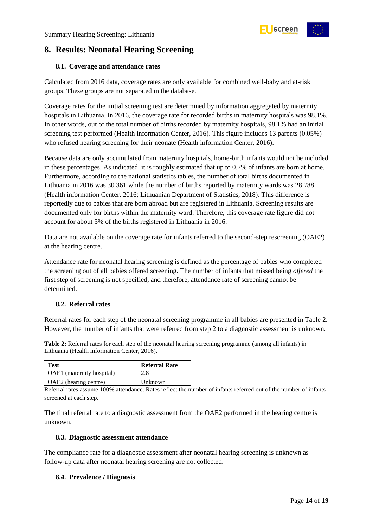

### <span id="page-13-0"></span>**8. Results: Neonatal Hearing Screening**

#### <span id="page-13-1"></span>**8.1. Coverage and attendance rates**

Calculated from 2016 data, coverage rates are only available for combined well-baby and at-risk groups. These groups are not separated in the database.

Coverage rates for the initial screening test are determined by information aggregated by maternity hospitals in Lithuania. In 2016, the coverage rate for recorded births in maternity hospitals was 98.1%. In other words, out of the total number of births recorded by maternity hospitals, 98.1% had an initial screening test performed (Health information Center, 2016). This figure includes 13 parents (0.05%) who refused hearing screening for their neonate (Health information Center, 2016).

Because data are only accumulated from maternity hospitals, home-birth infants would not be included in these percentages. As indicated, it is roughly estimated that up to 0.7% of infants are born at home. Furthermore, according to the national statistics tables, the number of total births documented in Lithuania in 2016 was 30 361 while the number of births reported by maternity wards was 28 788 (Health information Center, 2016; Lithuanian Department of Statistics, 2018). This difference is reportedly due to babies that are born abroad but are registered in Lithuania. Screening results are documented only for births within the maternity ward. Therefore, this coverage rate figure did not account for about 5% of the births registered in Lithuania in 2016.

Data are not available on the coverage rate for infants referred to the second-step rescreening (OAE2) at the hearing centre.

Attendance rate for neonatal hearing screening is defined as the percentage of babies who completed the screening out of all babies offered screening. The number of infants that missed being *offered* the first step of screening is not specified, and therefore, attendance rate of screening cannot be determined.

#### <span id="page-13-2"></span>**8.2. Referral rates**

Referral rates for each step of the neonatal screening programme in all babies are presented in Table 2. However, the number of infants that were referred from step 2 to a diagnostic assessment is unknown.

<span id="page-13-5"></span>**Table 2:** Referral rates for each step of the neonatal hearing screening programme (among all infants) in Lithuania (Health information Center, 2016).

| <b>Referral Rate</b> |
|----------------------|
| 2.8                  |
| Unknown              |
|                      |

Referral rates assume 100% attendance. Rates reflect the number of infants referred out of the number of infants screened at each step.

The final referral rate to a diagnostic assessment from the OAE2 performed in the hearing centre is unknown.

#### <span id="page-13-3"></span>**8.3. Diagnostic assessment attendance**

The compliance rate for a diagnostic assessment after neonatal hearing screening is unknown as follow-up data after neonatal hearing screening are not collected.

#### <span id="page-13-4"></span>**8.4. Prevalence / Diagnosis**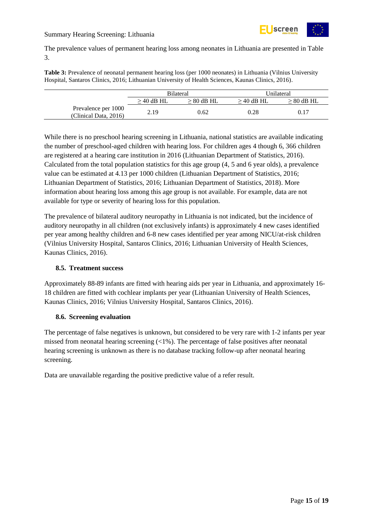

The prevalence values of permanent hearing loss among neonates in Lithuania are presented in [Table](#page-14-2)  [3.](#page-14-2)

<span id="page-14-2"></span>**Table 3:** Prevalence of neonatal permanent hearing loss (per 1000 neonates) in Lithuania (Vilnius University Hospital, Santaros Clinics, 2016; Lithuanian University of Health Sciences, Kaunas Clinics, 2016).

|                                              | <b>Bilateral</b> |              |              | Unilateral      |
|----------------------------------------------|------------------|--------------|--------------|-----------------|
|                                              | $>$ 40 dB HL     | $> 80$ dB HL | $>$ 40 dB HL | $\geq 80$ dB HL |
| Prevalence per 1000<br>(Clinical Data, 2016) | 2.19             | 0.62         | 0.28         | 0.17            |

While there is no preschool hearing screening in Lithuania, national statistics are available indicating the number of preschool-aged children with hearing loss. For children ages 4 though 6, 366 children are registered at a hearing care institution in 2016 (Lithuanian Department of Statistics, 2016). Calculated from the total population statistics for this age group (4, 5 and 6 year olds), a prevalence value can be estimated at 4.13 per 1000 children (Lithuanian Department of Statistics, 2016; Lithuanian Department of Statistics, 2016; Lithuanian Department of Statistics, 2018). More information about hearing loss among this age group is not available. For example, data are not available for type or severity of hearing loss for this population.

The prevalence of bilateral auditory neuropathy in Lithuania is not indicated, but the incidence of auditory neuropathy in all children (not exclusively infants) is approximately 4 new cases identified per year among healthy children and 6-8 new cases identified per year among NICU/at-risk children (Vilnius University Hospital, Santaros Clinics, 2016; Lithuanian University of Health Sciences, Kaunas Clinics, 2016).

#### <span id="page-14-0"></span>**8.5. Treatment success**

Approximately 88-89 infants are fitted with hearing aids per year in Lithuania, and approximately 16- 18 children are fitted with cochlear implants per year (Lithuanian University of Health Sciences, Kaunas Clinics, 2016; Vilnius University Hospital, Santaros Clinics, 2016).

#### <span id="page-14-1"></span>**8.6. Screening evaluation**

The percentage of false negatives is unknown, but considered to be very rare with 1-2 infants per year missed from neonatal hearing screening  $\left\langle \langle 1\% \rangle \right\rangle$ . The percentage of false positives after neonatal hearing screening is unknown as there is no database tracking follow-up after neonatal hearing screening.

Data are unavailable regarding the positive predictive value of a refer result.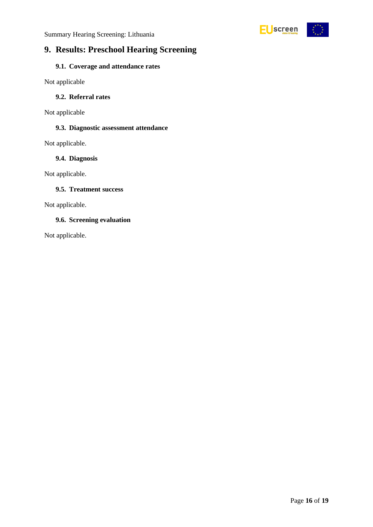

### <span id="page-15-0"></span>**9. Results: Preschool Hearing Screening**

### <span id="page-15-1"></span>**9.1. Coverage and attendance rates**

Not applicable

#### <span id="page-15-2"></span>**9.2. Referral rates**

Not applicable

#### <span id="page-15-3"></span>**9.3. Diagnostic assessment attendance**

Not applicable.

#### <span id="page-15-4"></span>**9.4. Diagnosis**

Not applicable.

#### <span id="page-15-5"></span>**9.5. Treatment success**

Not applicable.

#### <span id="page-15-6"></span>**9.6. Screening evaluation**

Not applicable.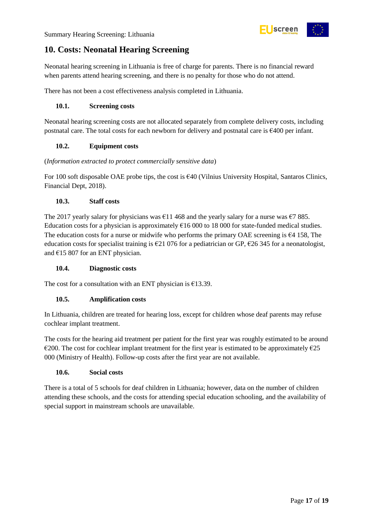

### <span id="page-16-0"></span>**10. Costs: Neonatal Hearing Screening**

Neonatal hearing screening in Lithuania is free of charge for parents. There is no financial reward when parents attend hearing screening, and there is no penalty for those who do not attend.

There has not been a cost effectiveness analysis completed in Lithuania.

#### <span id="page-16-1"></span>**10.1. Screening costs**

Neonatal hearing screening costs are not allocated separately from complete delivery costs, including postnatal care. The total costs for each newborn for delivery and postnatal care is €400 per infant.

#### <span id="page-16-2"></span>**10.2. Equipment costs**

#### (*Information extracted to protect commercially sensitive data*)

For 100 soft disposable OAE probe tips, the cost is  $640$  (Vilnius University Hospital, Santaros Clinics, Financial Dept, 2018).

#### <span id="page-16-3"></span>**10.3. Staff costs**

The 2017 yearly salary for physicians was  $\epsilon$ 11 468 and the yearly salary for a nurse was  $\epsilon$ 7 885. Education costs for a physician is approximately  $\epsilon$ 16 000 to 18 000 for state-funded medical studies. The education costs for a nurse or midwife who performs the primary OAE screening is  $64$  158, The education costs for specialist training is  $\epsilon$ 21 076 for a pediatrician or GP,  $\epsilon$ 26 345 for a neonatologist, and  $E15807$  for an ENT physician.

#### <span id="page-16-4"></span>**10.4. Diagnostic costs**

The cost for a consultation with an ENT physician is  $£13.39$ .

#### <span id="page-16-5"></span>**10.5. Amplification costs**

In Lithuania, children are treated for hearing loss, except for children whose deaf parents may refuse cochlear implant treatment.

The costs for the hearing aid treatment per patient for the first year was roughly estimated to be around  $\epsilon$ 200. The cost for cochlear implant treatment for the first year is estimated to be approximately  $\epsilon$ 25 000 (Ministry of Health). Follow-up costs after the first year are not available.

#### <span id="page-16-6"></span>**10.6. Social costs**

There is a total of 5 schools for deaf children in Lithuania; however, data on the number of children attending these schools, and the costs for attending special education schooling, and the availability of special support in mainstream schools are unavailable.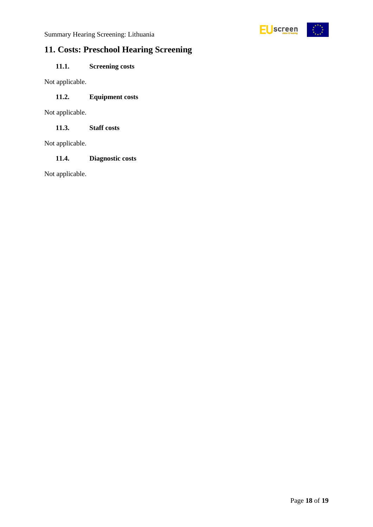

### <span id="page-17-0"></span>**11. Costs: Preschool Hearing Screening**

### <span id="page-17-1"></span>**11.1. Screening costs**

Not applicable.

#### <span id="page-17-2"></span>**11.2. Equipment costs**

Not applicable.

<span id="page-17-3"></span>**11.3. Staff costs**

Not applicable.

#### <span id="page-17-4"></span>**11.4. Diagnostic costs**

Not applicable.